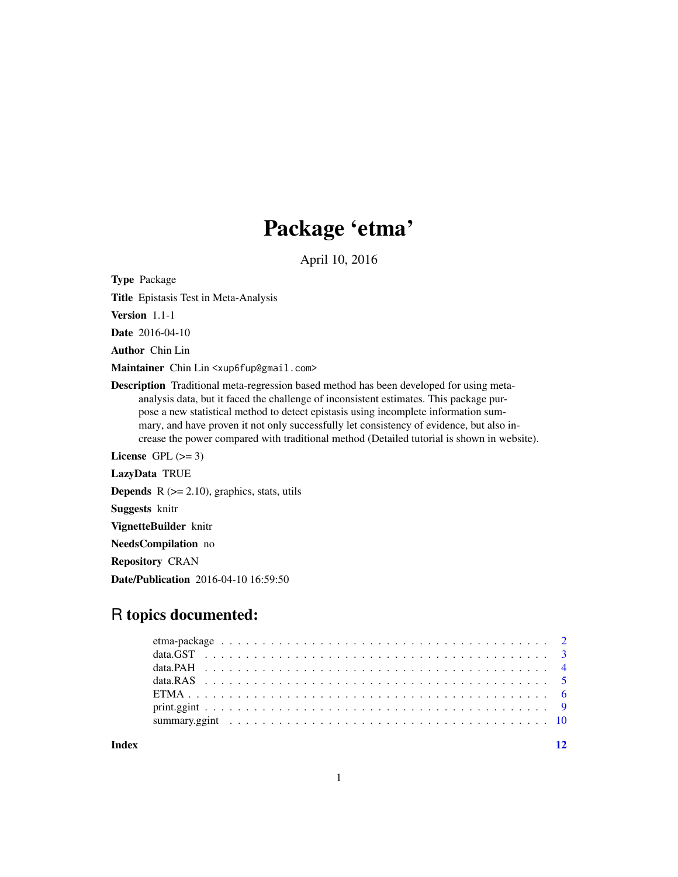## Package 'etma'

April 10, 2016

Type Package

Title Epistasis Test in Meta-Analysis

Version 1.1-1

Date 2016-04-10

Author Chin Lin

Maintainer Chin Lin <xup6fup@gmail.com>

Description Traditional meta-regression based method has been developed for using metaanalysis data, but it faced the challenge of inconsistent estimates. This package purpose a new statistical method to detect epistasis using incomplete information summary, and have proven it not only successfully let consistency of evidence, but also increase the power compared with traditional method (Detailed tutorial is shown in website).

License GPL  $(>= 3)$ 

LazyData TRUE

**Depends**  $R$  ( $>= 2.10$ ), graphics, stats, utils

Suggests knitr

VignetteBuilder knitr

NeedsCompilation no

Repository CRAN

Date/Publication 2016-04-10 16:59:50

## R topics documented:

**Index** [12](#page-11-0)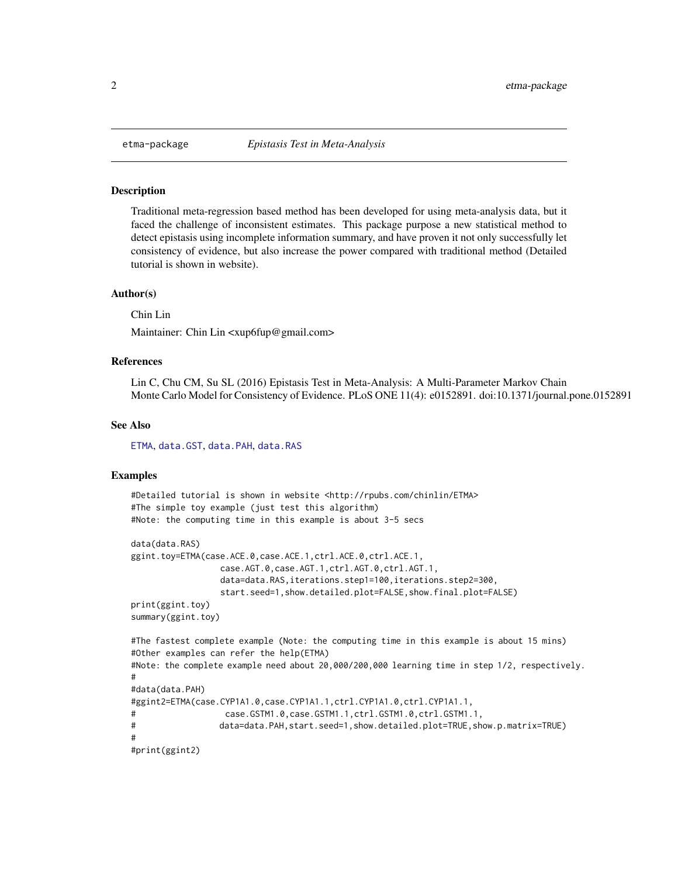<span id="page-1-0"></span>

### <span id="page-1-1"></span>Description

Traditional meta-regression based method has been developed for using meta-analysis data, but it faced the challenge of inconsistent estimates. This package purpose a new statistical method to detect epistasis using incomplete information summary, and have proven it not only successfully let consistency of evidence, but also increase the power compared with traditional method (Detailed tutorial is shown in website).

## Author(s)

Chin Lin

Maintainer: Chin Lin <xup6fup@gmail.com>

## References

Lin C, Chu CM, Su SL (2016) Epistasis Test in Meta-Analysis: A Multi-Parameter Markov Chain Monte Carlo Model for Consistency of Evidence. PLoS ONE 11(4): e0152891. doi:10.1371/journal.pone.0152891

#### See Also

[ETMA](#page-5-1), [data.GST](#page-2-1), [data.PAH](#page-3-1), [data.RAS](#page-4-1)

### Examples

```
#Detailed tutorial is shown in website <http://rpubs.com/chinlin/ETMA>
#The simple toy example (just test this algorithm)
#Note: the computing time in this example is about 3-5 secs
data(data.RAS)
ggint.toy=ETMA(case.ACE.0,case.ACE.1,ctrl.ACE.0,ctrl.ACE.1,
                 case.AGT.0,case.AGT.1,ctrl.AGT.0,ctrl.AGT.1,
                 data=data.RAS, iterations.step1=100, iterations.step2=300,
                 start.seed=1,show.detailed.plot=FALSE,show.final.plot=FALSE)
print(ggint.toy)
summary(ggint.toy)
#The fastest complete example (Note: the computing time in this example is about 15 mins)
#Other examples can refer the help(ETMA)
#Note: the complete example need about 20,000/200,000 learning time in step 1/2, respectively.
#
#data(data.PAH)
#ggint2=ETMA(case.CYP1A1.0,case.CYP1A1.1,ctrl.CYP1A1.0,ctrl.CYP1A1.1,
# case.GSTM1.0,case.GSTM1.1,ctrl.GSTM1.0,ctrl.GSTM1.1,
# data=data.PAH,start.seed=1,show.detailed.plot=TRUE,show.p.matrix=TRUE)
#
#print(ggint2)
```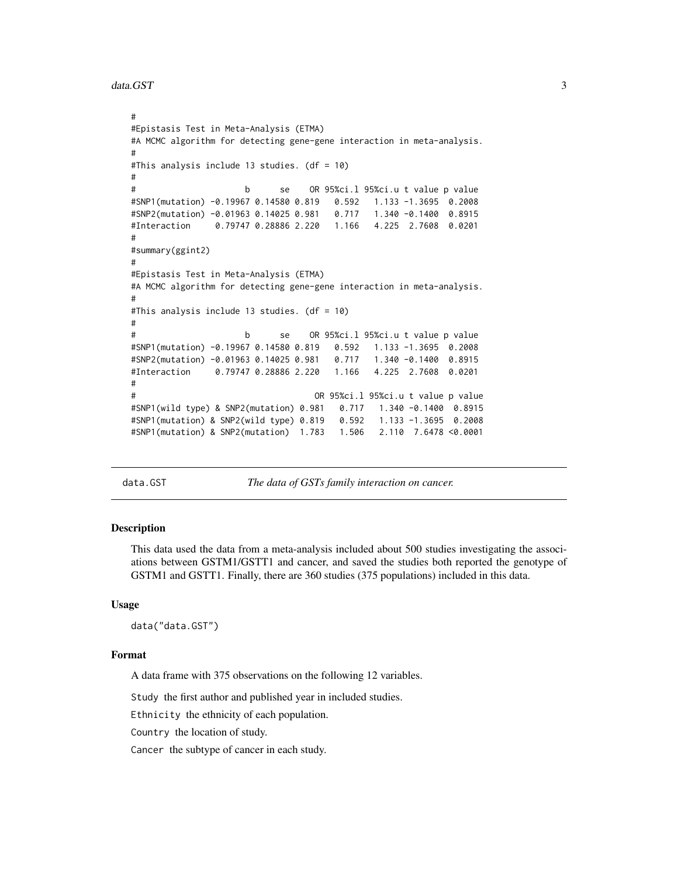```
data.GST 3
```

```
#
#Epistasis Test in Meta-Analysis (ETMA)
#A MCMC algorithm for detecting gene-gene interaction in meta-analysis.
#
#This analysis include 13 studies. (df = 10)
#
# b se OR 95%ci.l 95%ci.u t value p value
#SNP1(mutation) -0.19967 0.14580 0.819 0.592 1.133 -1.3695 0.2008
#SNP2(mutation) -0.01963 0.14025 0.981 0.717 1.340 -0.1400 0.8915
#Interaction 0.79747 0.28886 2.220 1.166 4.225 2.7608 0.0201
#
#summary(ggint2)
#
#Epistasis Test in Meta-Analysis (ETMA)
#A MCMC algorithm for detecting gene-gene interaction in meta-analysis.
#
#This analysis include 13 studies. (df = 10)
#
# b se OR 95%ci.l 95%ci.u t value p value
#SNP1(mutation) -0.19967 0.14580 0.819 0.592 1.133 -1.3695 0.2008
#SNP2(mutation) -0.01963 0.14025 0.981 0.717 1.340 -0.1400 0.8915
#Interaction 0.79747 0.28886 2.220 1.166 4.225 2.7608 0.0201
#
                                 OR 95%ci.l 95%ci.u t value p value
#SNP1(wild type) & SNP2(mutation) 0.981 0.717 1.340 -0.1400 0.8915
#SNP1(mutation) & SNP2(wild type) 0.819 0.592 1.133 -1.3695 0.2008
#SNP1(mutation) & SNP2(mutation) 1.783 1.506 2.110 7.6478 <0.0001
```
<span id="page-2-1"></span>data.GST *The data of GSTs family interaction on cancer.*

## Description

This data used the data from a meta-analysis included about 500 studies investigating the associations between GSTM1/GSTT1 and cancer, and saved the studies both reported the genotype of GSTM1 and GSTT1. Finally, there are 360 studies (375 populations) included in this data.

#### Usage

data("data.GST")

### Format

A data frame with 375 observations on the following 12 variables.

Study the first author and published year in included studies.

Ethnicity the ethnicity of each population.

Country the location of study.

Cancer the subtype of cancer in each study.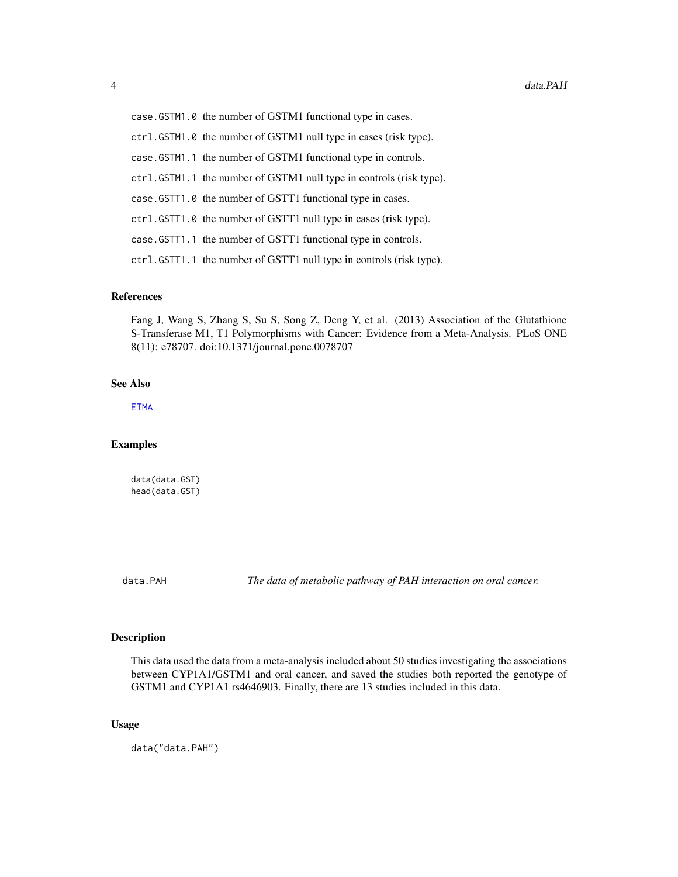<span id="page-3-0"></span>case.GSTM1.0 the number of GSTM1 functional type in cases. ctrl.GSTM1.0 the number of GSTM1 null type in cases (risk type). case.GSTM1.1 the number of GSTM1 functional type in controls. ctrl.GSTM1.1 the number of GSTM1 null type in controls (risk type). case.GSTT1.0 the number of GSTT1 functional type in cases. ctrl.GSTT1.0 the number of GSTT1 null type in cases (risk type). case.GSTT1.1 the number of GSTT1 functional type in controls. ctrl.GSTT1.1 the number of GSTT1 null type in controls (risk type).

### References

Fang J, Wang S, Zhang S, Su S, Song Z, Deng Y, et al. (2013) Association of the Glutathione S-Transferase M1, T1 Polymorphisms with Cancer: Evidence from a Meta-Analysis. PLoS ONE 8(11): e78707. doi:10.1371/journal.pone.0078707

## See Also

[ETMA](#page-5-1)

## Examples

data(data.GST) head(data.GST)

<span id="page-3-1"></span>data.PAH *The data of metabolic pathway of PAH interaction on oral cancer.*

## Description

This data used the data from a meta-analysis included about 50 studies investigating the associations between CYP1A1/GSTM1 and oral cancer, and saved the studies both reported the genotype of GSTM1 and CYP1A1 rs4646903. Finally, there are 13 studies included in this data.

## Usage

data("data.PAH")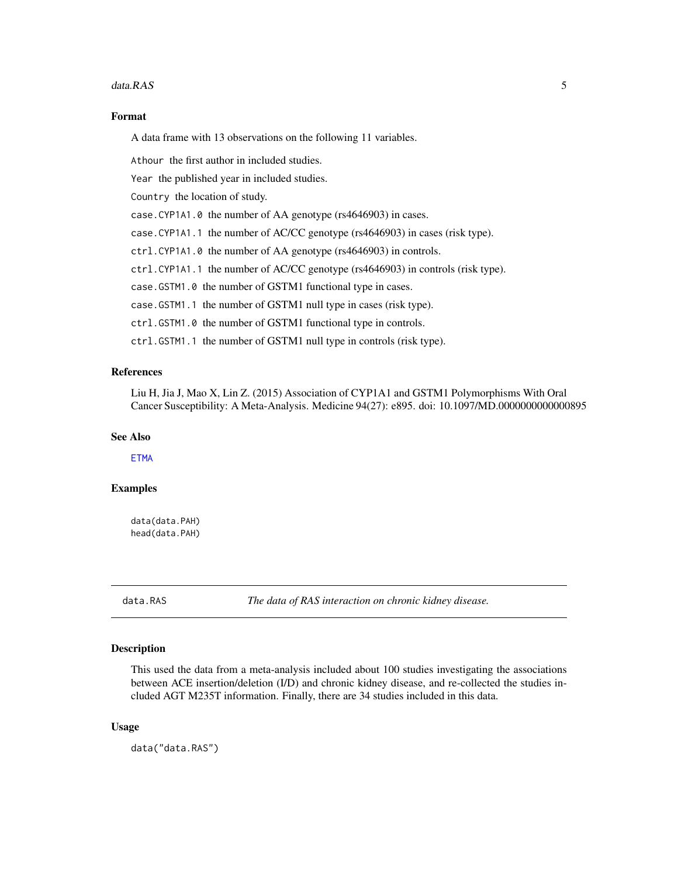#### <span id="page-4-0"></span>data.RAS 5

## Format

A data frame with 13 observations on the following 11 variables.

Athour the first author in included studies.

Year the published year in included studies.

Country the location of study.

case.CYP1A1.0 the number of AA genotype (rs4646903) in cases.

case.CYP1A1.1 the number of AC/CC genotype (rs4646903) in cases (risk type).

ctrl.CYP1A1.0 the number of AA genotype (rs4646903) in controls.

ctrl.CYP1A1.1 the number of AC/CC genotype (rs4646903) in controls (risk type).

case.GSTM1.0 the number of GSTM1 functional type in cases.

case.GSTM1.1 the number of GSTM1 null type in cases (risk type).

ctrl.GSTM1.0 the number of GSTM1 functional type in controls.

ctrl.GSTM1.1 the number of GSTM1 null type in controls (risk type).

## References

Liu H, Jia J, Mao X, Lin Z. (2015) Association of CYP1A1 and GSTM1 Polymorphisms With Oral Cancer Susceptibility: A Meta-Analysis. Medicine 94(27): e895. doi: 10.1097/MD.0000000000000895

## See Also

**[ETMA](#page-5-1)** 

## Examples

data(data.PAH) head(data.PAH)

<span id="page-4-1"></span>data.RAS *The data of RAS interaction on chronic kidney disease.*

#### **Description**

This used the data from a meta-analysis included about 100 studies investigating the associations between ACE insertion/deletion (I/D) and chronic kidney disease, and re-collected the studies included AGT M235T information. Finally, there are 34 studies included in this data.

#### Usage

data("data.RAS")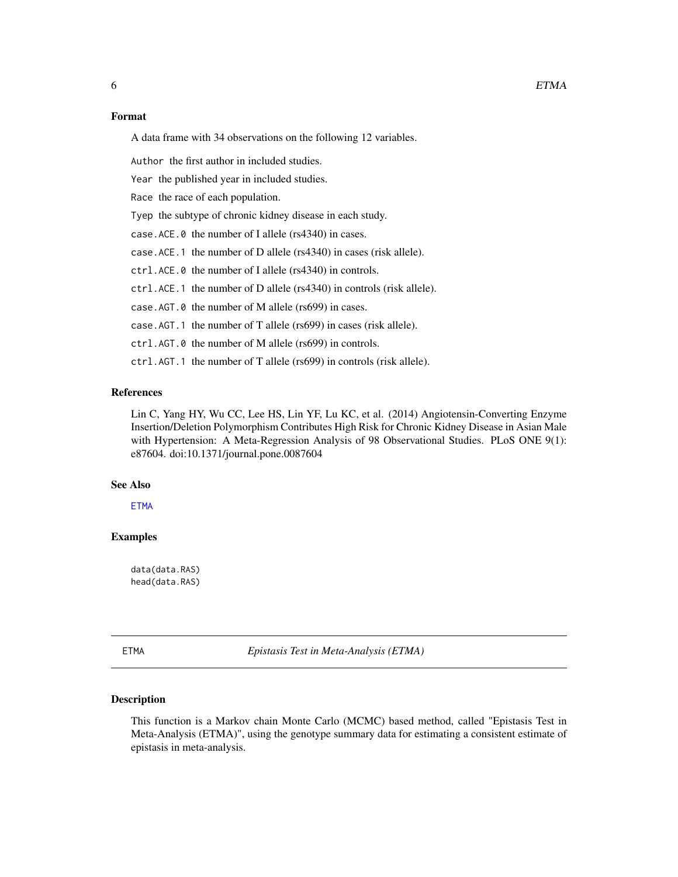## <span id="page-5-0"></span>Format

A data frame with 34 observations on the following 12 variables.

Author the first author in included studies.

Year the published year in included studies.

Race the race of each population.

Tyep the subtype of chronic kidney disease in each study.

case.ACE.0 the number of I allele (rs4340) in cases.

case.ACE.1 the number of D allele (rs4340) in cases (risk allele).

ctrl.ACE.0 the number of I allele (rs4340) in controls.

ctrl.ACE.1 the number of D allele (rs4340) in controls (risk allele).

case.AGT.0 the number of M allele (rs699) in cases.

case.AGT.1 the number of T allele (rs699) in cases (risk allele).

ctrl.AGT.0 the number of M allele (rs699) in controls.

ctrl.AGT.1 the number of T allele (rs699) in controls (risk allele).

## References

Lin C, Yang HY, Wu CC, Lee HS, Lin YF, Lu KC, et al. (2014) Angiotensin-Converting Enzyme Insertion/Deletion Polymorphism Contributes High Risk for Chronic Kidney Disease in Asian Male with Hypertension: A Meta-Regression Analysis of 98 Observational Studies. PLoS ONE 9(1): e87604. doi:10.1371/journal.pone.0087604

#### See Also

**[ETMA](#page-5-1)** 

## Examples

data(data.RAS) head(data.RAS)

<span id="page-5-1"></span>

ETMA *Epistasis Test in Meta-Analysis (ETMA)*

## Description

This function is a Markov chain Monte Carlo (MCMC) based method, called "Epistasis Test in Meta-Analysis (ETMA)", using the genotype summary data for estimating a consistent estimate of epistasis in meta-analysis.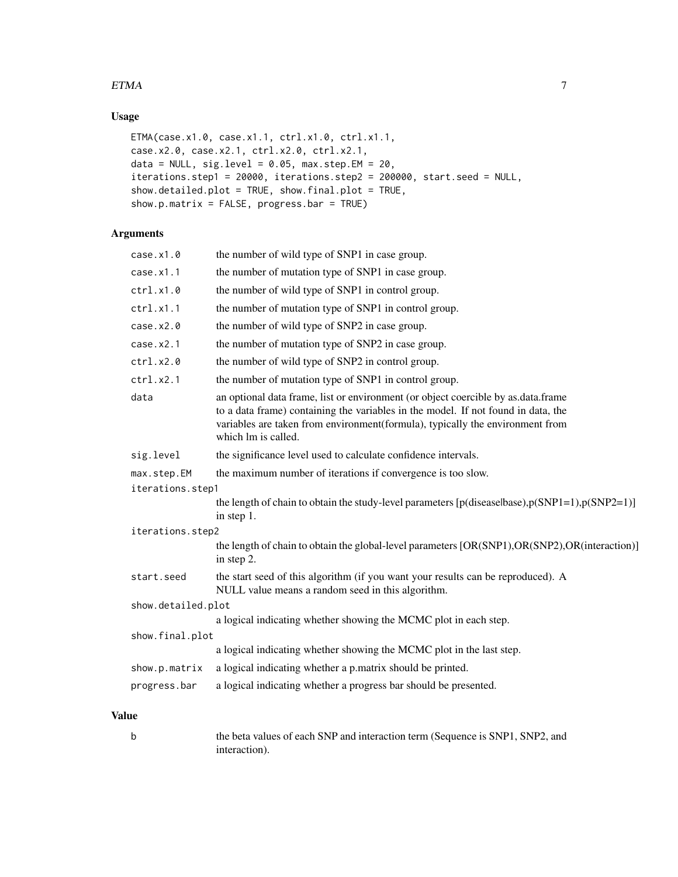## $ETMA$  7

## Usage

```
ETMA(case.x1.0, case.x1.1, ctrl.x1.0, ctrl.x1.1,
case.x2.0, case.x2.1, ctrl.x2.0, ctrl.x2.1,
data = NULL, sig.level = 0.05, max.step.EM = 20,
iterations.step1 = 20000, iterations.step2 = 200000, start.seed = NULL,
show.detailed.plot = TRUE, show.final.plot = TRUE,
show.p.matrix = FALSE, progress.bar = TRUE)
```
## Arguments

| case.x1.0          | the number of wild type of SNP1 in case group.                                                                                                                                                                                                                                 |  |
|--------------------|--------------------------------------------------------------------------------------------------------------------------------------------------------------------------------------------------------------------------------------------------------------------------------|--|
| case.x1.1          | the number of mutation type of SNP1 in case group.                                                                                                                                                                                                                             |  |
| ctrl.x1.0          | the number of wild type of SNP1 in control group.                                                                                                                                                                                                                              |  |
| ctrl.x1.1          | the number of mutation type of SNP1 in control group.                                                                                                                                                                                                                          |  |
| case.x2.0          | the number of wild type of SNP2 in case group.                                                                                                                                                                                                                                 |  |
| case.x2.1          | the number of mutation type of SNP2 in case group.                                                                                                                                                                                                                             |  |
| ctrl.x2.0          | the number of wild type of SNP2 in control group.                                                                                                                                                                                                                              |  |
| ctrl.x2.1          | the number of mutation type of SNP1 in control group.                                                                                                                                                                                                                          |  |
| data               | an optional data frame, list or environment (or object coercible by as data frame<br>to a data frame) containing the variables in the model. If not found in data, the<br>variables are taken from environment(formula), typically the environment from<br>which lm is called. |  |
| sig.level          | the significance level used to calculate confidence intervals.                                                                                                                                                                                                                 |  |
| max.step.EM        | the maximum number of iterations if convergence is too slow.                                                                                                                                                                                                                   |  |
| iterations.step1   |                                                                                                                                                                                                                                                                                |  |
|                    | the length of chain to obtain the study-level parameters $[p$ (diseaselbase), $p(SNP1=1)$ , $p(SNP2=1)$ ]<br>in step 1.                                                                                                                                                        |  |
| iterations.step2   |                                                                                                                                                                                                                                                                                |  |
|                    | the length of chain to obtain the global-level parameters [OR(SNP1), OR(SNP2), OR(interaction)]<br>in step 2.                                                                                                                                                                  |  |
| start.seed         | the start seed of this algorithm (if you want your results can be reproduced). A<br>NULL value means a random seed in this algorithm.                                                                                                                                          |  |
| show.detailed.plot |                                                                                                                                                                                                                                                                                |  |
|                    | a logical indicating whether showing the MCMC plot in each step.                                                                                                                                                                                                               |  |
| show.final.plot    |                                                                                                                                                                                                                                                                                |  |
|                    | a logical indicating whether showing the MCMC plot in the last step.                                                                                                                                                                                                           |  |
| show.p.matrix      | a logical indicating whether a p.matrix should be printed.                                                                                                                                                                                                                     |  |
| progress.bar       | a logical indicating whether a progress bar should be presented.                                                                                                                                                                                                               |  |
|                    |                                                                                                                                                                                                                                                                                |  |

## Value

| the beta values of each SNP and interaction term (Sequence is SNP1, SNP2, and |
|-------------------------------------------------------------------------------|
| interaction).                                                                 |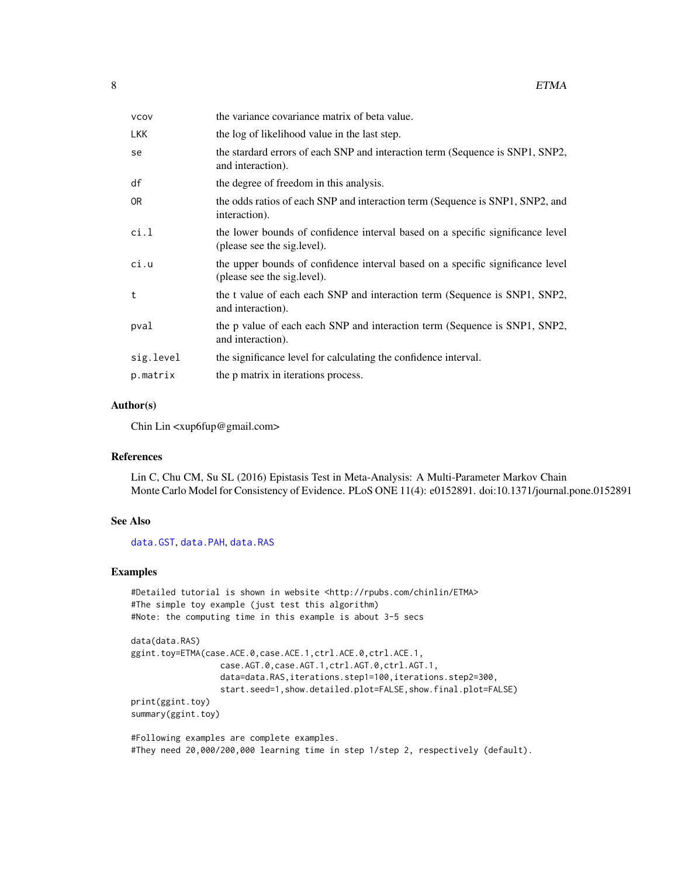<span id="page-7-0"></span>

| VCOV      | the variance covariance matrix of beta value.                                                                  |  |
|-----------|----------------------------------------------------------------------------------------------------------------|--|
| LKK       | the log of likelihood value in the last step.                                                                  |  |
| se        | the stardard errors of each SNP and interaction term (Sequence is SNP1, SNP2,<br>and interaction).             |  |
| df        | the degree of freedom in this analysis.                                                                        |  |
| 0R        | the odds ratios of each SNP and interaction term (Sequence is SNP1, SNP2, and<br>interaction).                 |  |
| ci.l      | the lower bounds of confidence interval based on a specific significance level<br>(please see the sig. level). |  |
| ci.u      | the upper bounds of confidence interval based on a specific significance level<br>(please see the sig. level). |  |
| t         | the t value of each each SNP and interaction term (Sequence is SNP1, SNP2,<br>and interaction).                |  |
| pval      | the p value of each each SNP and interaction term (Sequence is SNP1, SNP2,<br>and interaction).                |  |
| sig.level | the significance level for calculating the confidence interval.                                                |  |
| p.matrix  | the p matrix in iterations process.                                                                            |  |
|           |                                                                                                                |  |

## Author(s)

Chin Lin <xup6fup@gmail.com>

## References

Lin C, Chu CM, Su SL (2016) Epistasis Test in Meta-Analysis: A Multi-Parameter Markov Chain Monte Carlo Model for Consistency of Evidence. PLoS ONE 11(4): e0152891. doi:10.1371/journal.pone.0152891

## See Also

[data.GST](#page-2-1), [data.PAH](#page-3-1), [data.RAS](#page-4-1)

## Examples

```
#Detailed tutorial is shown in website <http://rpubs.com/chinlin/ETMA>
#The simple toy example (just test this algorithm)
#Note: the computing time in this example is about 3-5 secs
```

```
data(data.RAS)
ggint.toy=ETMA(case.ACE.0,case.ACE.1,ctrl.ACE.0,ctrl.ACE.1,
                 case.AGT.0,case.AGT.1,ctrl.AGT.0,ctrl.AGT.1,
                  data=data.RAS,iterations.step1=100,iterations.step2=300,
                  start.seed=1,show.detailed.plot=FALSE,show.final.plot=FALSE)
print(ggint.toy)
summary(ggint.toy)
```
#Following examples are complete examples. #They need 20,000/200,000 learning time in step 1/step 2, respectively (default).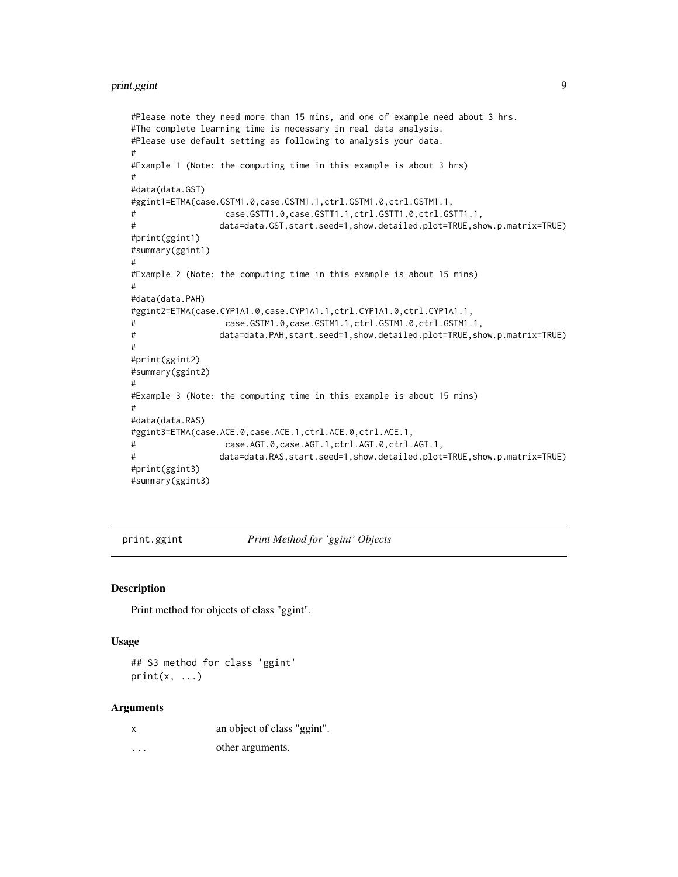```
#Please note they need more than 15 mins, and one of example need about 3 hrs.
#The complete learning time is necessary in real data analysis.
#Please use default setting as following to analysis your data.
#
#Example 1 (Note: the computing time in this example is about 3 hrs)
#
#data(data.GST)
#ggint1=ETMA(case.GSTM1.0,case.GSTM1.1,ctrl.GSTM1.0,ctrl.GSTM1.1,
# case.GSTT1.0,case.GSTT1.1,ctrl.GSTT1.0,ctrl.GSTT1.1,
# data=data.GST,start.seed=1,show.detailed.plot=TRUE,show.p.matrix=TRUE)
#print(ggint1)
#summary(ggint1)
#
#Example 2 (Note: the computing time in this example is about 15 mins)
#
#data(data.PAH)
#ggint2=ETMA(case.CYP1A1.0,case.CYP1A1.1,ctrl.CYP1A1.0,ctrl.CYP1A1.1,
# case.GSTM1.0,case.GSTM1.1,ctrl.GSTM1.0,ctrl.GSTM1.1,
# data=data.PAH,start.seed=1,show.detailed.plot=TRUE,show.p.matrix=TRUE)
#
#print(ggint2)
#summary(ggint2)
#
#Example 3 (Note: the computing time in this example is about 15 mins)
#
#data(data.RAS)
#ggint3=ETMA(case.ACE.0,case.ACE.1,ctrl.ACE.0,ctrl.ACE.1,
# case.AGT.0,case.AGT.1,ctrl.AGT.0,ctrl.AGT.1,
# data=data.RAS,start.seed=1,show.detailed.plot=TRUE,show.p.matrix=TRUE)
#print(ggint3)
#summary(ggint3)
```
print.ggint *Print Method for 'ggint' Objects*

#### Description

Print method for objects of class "ggint".

#### Usage

```
## S3 method for class 'ggint'
print(x, \ldots)
```
#### Arguments

x an object of class "ggint".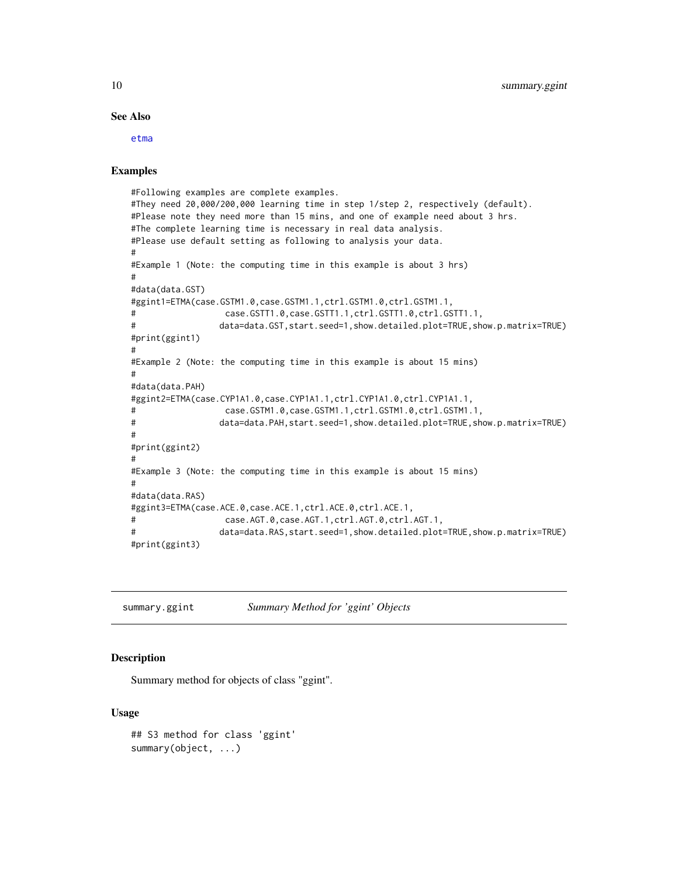#### See Also

[etma](#page-1-1)

## Examples

```
#Following examples are complete examples.
#They need 20,000/200,000 learning time in step 1/step 2, respectively (default).
#Please note they need more than 15 mins, and one of example need about 3 hrs.
#The complete learning time is necessary in real data analysis.
#Please use default setting as following to analysis your data.
#
#Example 1 (Note: the computing time in this example is about 3 hrs)
#
#data(data.GST)
#ggint1=ETMA(case.GSTM1.0,case.GSTM1.1,ctrl.GSTM1.0,ctrl.GSTM1.1,
                 case.GSTT1.0,case.GSTT1.1,ctrl.GSTT1.0,ctrl.GSTT1.1,
# data=data.GST,start.seed=1,show.detailed.plot=TRUE,show.p.matrix=TRUE)
#print(ggint1)
#
#Example 2 (Note: the computing time in this example is about 15 mins)
#
#data(data.PAH)
#ggint2=ETMA(case.CYP1A1.0,case.CYP1A1.1,ctrl.CYP1A1.0,ctrl.CYP1A1.1,
# case.GSTM1.0,case.GSTM1.1,ctrl.GSTM1.0,ctrl.GSTM1.1,
# data=data.PAH,start.seed=1,show.detailed.plot=TRUE,show.p.matrix=TRUE)
#
#print(ggint2)
#
#Example 3 (Note: the computing time in this example is about 15 mins)
#
#data(data.RAS)
#ggint3=ETMA(case.ACE.0,case.ACE.1,ctrl.ACE.0,ctrl.ACE.1,
# case.AGT.0,case.AGT.1,ctrl.AGT.0,ctrl.AGT.1,
# data=data.RAS,start.seed=1,show.detailed.plot=TRUE,show.p.matrix=TRUE)
#print(ggint3)
```
summary.ggint *Summary Method for 'ggint' Objects*

## Description

Summary method for objects of class "ggint".

## Usage

```
## S3 method for class 'ggint'
summary(object, ...)
```
<span id="page-9-0"></span>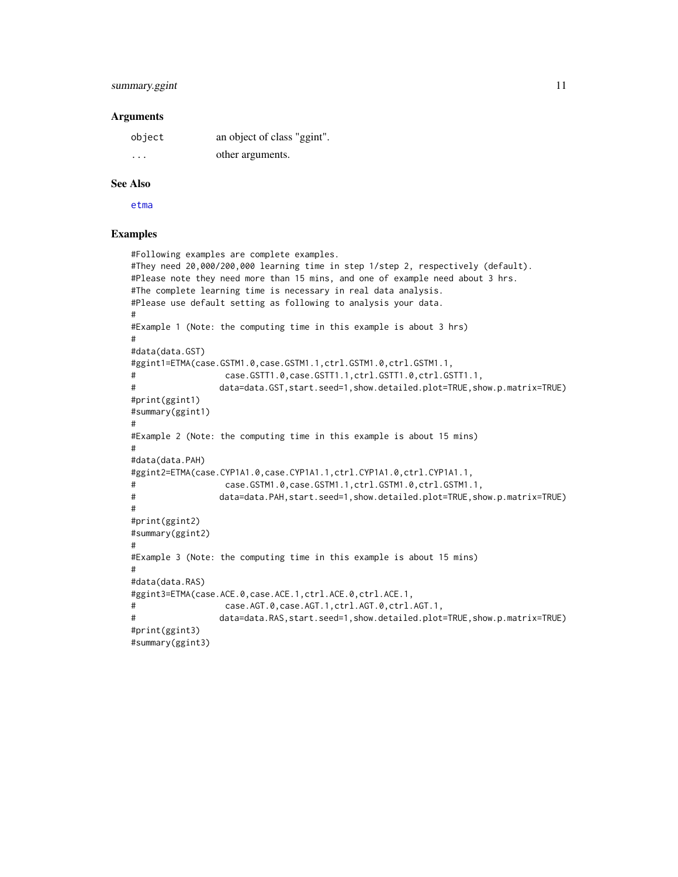## <span id="page-10-0"></span>summary.ggint 11

### **Arguments**

| object  | an object of class "ggint". |
|---------|-----------------------------|
| $\cdot$ | other arguments.            |

### See Also

[etma](#page-1-1)

## Examples

```
#Following examples are complete examples.
#They need 20,000/200,000 learning time in step 1/step 2, respectively (default).
#Please note they need more than 15 mins, and one of example need about 3 hrs.
#The complete learning time is necessary in real data analysis.
#Please use default setting as following to analysis your data.
#
#Example 1 (Note: the computing time in this example is about 3 hrs)
#
#data(data.GST)
#ggint1=ETMA(case.GSTM1.0,case.GSTM1.1,ctrl.GSTM1.0,ctrl.GSTM1.1,
# case.GSTT1.0,case.GSTT1.1,ctrl.GSTT1.0,ctrl.GSTT1.1,
# data=data.GST,start.seed=1,show.detailed.plot=TRUE,show.p.matrix=TRUE)
#print(ggint1)
#summary(ggint1)
#
#Example 2 (Note: the computing time in this example is about 15 mins)
#
#data(data.PAH)
#ggint2=ETMA(case.CYP1A1.0,case.CYP1A1.1,ctrl.CYP1A1.0,ctrl.CYP1A1.1,
# case.GSTM1.0,case.GSTM1.1,ctrl.GSTM1.0,ctrl.GSTM1.1,
# data=data.PAH,start.seed=1,show.detailed.plot=TRUE,show.p.matrix=TRUE)
#
#print(ggint2)
#summary(ggint2)
#
#Example 3 (Note: the computing time in this example is about 15 mins)
#
#data(data.RAS)
#ggint3=ETMA(case.ACE.0,case.ACE.1,ctrl.ACE.0,ctrl.ACE.1,
# case.AGT.0,case.AGT.1,ctrl.AGT.0,ctrl.AGT.1,
# data=data.RAS,start.seed=1,show.detailed.plot=TRUE,show.p.matrix=TRUE)
#print(ggint3)
#summary(ggint3)
```